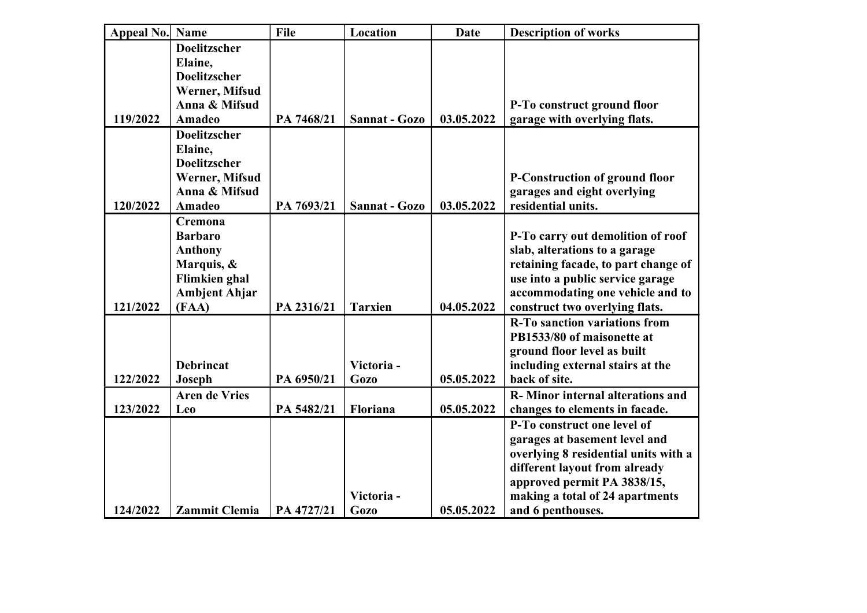| Appeal No. Name |                                                                                                                           | File       | Location                 | <b>Date</b> | <b>Description of works</b>                                                                                                                                                                                                  |
|-----------------|---------------------------------------------------------------------------------------------------------------------------|------------|--------------------------|-------------|------------------------------------------------------------------------------------------------------------------------------------------------------------------------------------------------------------------------------|
| 119/2022        | <b>Doelitzscher</b><br>Elaine,<br><b>Doelitzscher</b><br>Werner, Mifsud<br>Anna & Mifsud<br><b>Amadeo</b>                 | PA 7468/21 | Sannat - Gozo            | 03.05.2022  | P-To construct ground floor<br>garage with overlying flats.                                                                                                                                                                  |
| 120/2022        | <b>Doelitzscher</b><br>Elaine,<br><b>Doelitzscher</b><br>Werner, Mifsud<br>Anna & Mifsud<br><b>Amadeo</b>                 | PA 7693/21 | Sannat - Gozo            | 03.05.2022  | <b>P-Construction of ground floor</b><br>garages and eight overlying<br>residential units.                                                                                                                                   |
| 121/2022        | <b>Cremona</b><br><b>Barbaro</b><br><b>Anthony</b><br>Marquis, &<br><b>Flimkien</b> ghal<br><b>Ambjent Ahjar</b><br>(FAA) | PA 2316/21 | <b>Tarxien</b>           | 04.05.2022  | P-To carry out demolition of roof<br>slab, alterations to a garage<br>retaining facade, to part change of<br>use into a public service garage<br>accommodating one vehicle and to<br>construct two overlying flats.          |
| 122/2022        | <b>Debrincat</b><br>Joseph                                                                                                | PA 6950/21 | Victoria-<br><b>Gozo</b> | 05.05.2022  | <b>R-To sanction variations from</b><br>PB1533/80 of maisonette at<br>ground floor level as built<br>including external stairs at the<br>back of site.                                                                       |
| 123/2022        | <b>Aren de Vries</b><br>Leo                                                                                               | PA 5482/21 | Floriana                 | 05.05.2022  | R-Minor internal alterations and<br>changes to elements in facade.                                                                                                                                                           |
| 124/2022        | <b>Zammit Clemia</b>                                                                                                      | PA 4727/21 | Victoria-<br><b>Gozo</b> | 05.05.2022  | P-To construct one level of<br>garages at basement level and<br>overlying 8 residential units with a<br>different layout from already<br>approved permit PA 3838/15,<br>making a total of 24 apartments<br>and 6 penthouses. |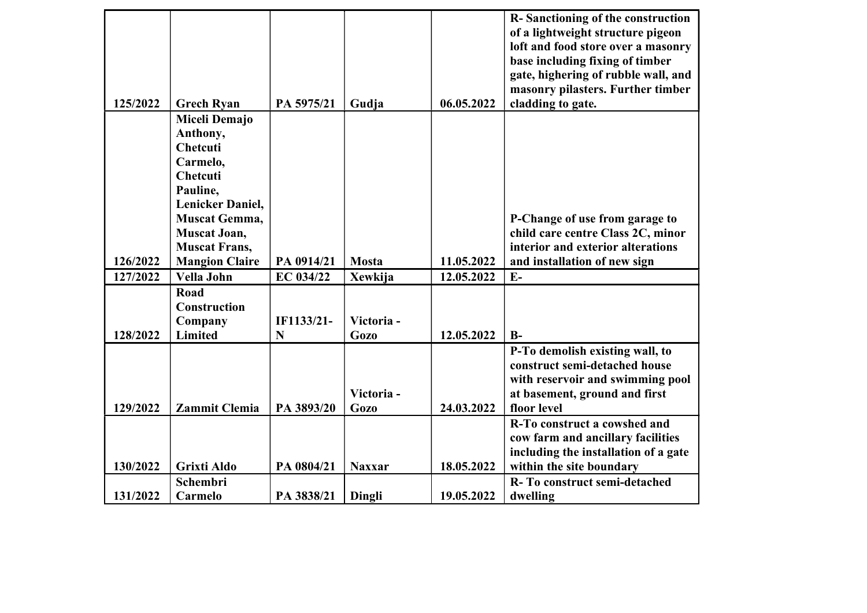| 125/2022 | <b>Grech Ryan</b>                               | PA 5975/21      | Gudja                    | 06.05.2022 | R-Sanctioning of the construction<br>of a lightweight structure pigeon<br>loft and food store over a masonry<br>base including fixing of timber<br>gate, highering of rubble wall, and<br>masonry pilasters. Further timber<br>cladding to gate. |
|----------|-------------------------------------------------|-----------------|--------------------------|------------|--------------------------------------------------------------------------------------------------------------------------------------------------------------------------------------------------------------------------------------------------|
|          | Miceli Demajo                                   |                 |                          |            |                                                                                                                                                                                                                                                  |
|          | Anthony,<br>Chetcuti                            |                 |                          |            |                                                                                                                                                                                                                                                  |
|          | Carmelo,                                        |                 |                          |            |                                                                                                                                                                                                                                                  |
|          | <b>Chetcuti</b>                                 |                 |                          |            |                                                                                                                                                                                                                                                  |
|          | Pauline,                                        |                 |                          |            |                                                                                                                                                                                                                                                  |
|          | <b>Lenicker Daniel,</b><br><b>Muscat Gemma,</b> |                 |                          |            |                                                                                                                                                                                                                                                  |
|          | <b>Muscat Joan,</b>                             |                 |                          |            | P-Change of use from garage to<br>child care centre Class 2C, minor                                                                                                                                                                              |
|          | <b>Muscat Frans,</b>                            |                 |                          |            | interior and exterior alterations                                                                                                                                                                                                                |
| 126/2022 | <b>Mangion Claire</b>                           | PA 0914/21      | <b>Mosta</b>             | 11.05.2022 | and installation of new sign                                                                                                                                                                                                                     |
| 127/2022 | Vella John                                      | EC 034/22       | Xewkija                  | 12.05.2022 | $E-$                                                                                                                                                                                                                                             |
| 128/2022 | Road<br>Construction<br>Company<br>Limited      | IF1133/21-<br>N | Victoria-<br><b>Gozo</b> | 12.05.2022 | $B-$                                                                                                                                                                                                                                             |
|          |                                                 |                 |                          |            | P-To demolish existing wall, to<br>construct semi-detached house                                                                                                                                                                                 |
|          |                                                 |                 | Victoria-                |            | with reservoir and swimming pool<br>at basement, ground and first                                                                                                                                                                                |
| 129/2022 | <b>Zammit Clemia</b>                            | PA 3893/20      | <b>Gozo</b>              | 24.03.2022 | floor level                                                                                                                                                                                                                                      |
|          |                                                 |                 |                          |            | R-To construct a cowshed and<br>cow farm and ancillary facilities                                                                                                                                                                                |
|          |                                                 |                 |                          |            | including the installation of a gate                                                                                                                                                                                                             |
| 130/2022 | <b>Grixti Aldo</b>                              | PA 0804/21      | <b>Naxxar</b>            | 18.05.2022 | within the site boundary                                                                                                                                                                                                                         |
|          | Schembri                                        |                 |                          |            | R-To construct semi-detached                                                                                                                                                                                                                     |
| 131/2022 | Carmelo                                         | PA 3838/21      | Dingli                   | 19.05.2022 | dwelling                                                                                                                                                                                                                                         |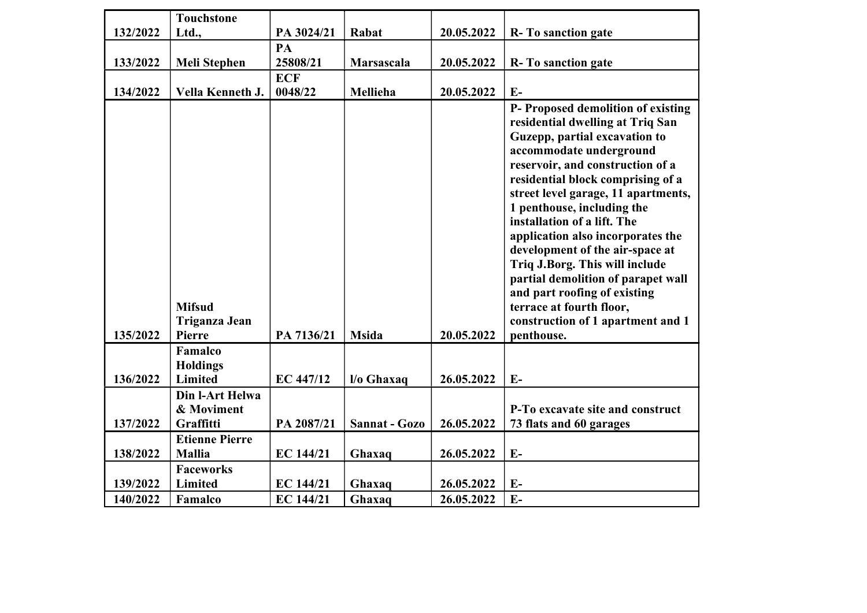|          | <b>Touchstone</b>                               |                  |               |            |                                                                                                                                                                                                                                                                                                                                                                                                                           |
|----------|-------------------------------------------------|------------------|---------------|------------|---------------------------------------------------------------------------------------------------------------------------------------------------------------------------------------------------------------------------------------------------------------------------------------------------------------------------------------------------------------------------------------------------------------------------|
| 132/2022 | Ltd.,                                           | PA 3024/21       | Rabat         | 20.05.2022 | R-To sanction gate                                                                                                                                                                                                                                                                                                                                                                                                        |
|          |                                                 | PA               |               |            |                                                                                                                                                                                                                                                                                                                                                                                                                           |
| 133/2022 | <b>Meli Stephen</b>                             | 25808/21         | Marsascala    | 20.05.2022 | R-To sanction gate                                                                                                                                                                                                                                                                                                                                                                                                        |
|          |                                                 | <b>ECF</b>       |               |            |                                                                                                                                                                                                                                                                                                                                                                                                                           |
| 134/2022 | Vella Kenneth J.                                | 0048/22          | Mellieha      | 20.05.2022 | $E-$                                                                                                                                                                                                                                                                                                                                                                                                                      |
|          |                                                 |                  |               |            | P- Proposed demolition of existing<br>residential dwelling at Triq San<br>Guzepp, partial excavation to<br>accommodate underground<br>reservoir, and construction of a<br>residential block comprising of a<br>street level garage, 11 apartments,<br>1 penthouse, including the<br>installation of a lift. The<br>application also incorporates the<br>development of the air-space at<br>Triq J.Borg. This will include |
| 135/2022 | <b>Mifsud</b><br>Triganza Jean<br><b>Pierre</b> | PA 7136/21       | <b>Msida</b>  | 20.05.2022 | partial demolition of parapet wall<br>and part roofing of existing<br>terrace at fourth floor,<br>construction of 1 apartment and 1<br>penthouse.                                                                                                                                                                                                                                                                         |
|          | Famalco                                         |                  |               |            |                                                                                                                                                                                                                                                                                                                                                                                                                           |
|          | <b>Holdings</b>                                 |                  |               |            |                                                                                                                                                                                                                                                                                                                                                                                                                           |
| 136/2022 | Limited                                         | EC 447/12        | l/o Ghaxaq    | 26.05.2022 | $E-$                                                                                                                                                                                                                                                                                                                                                                                                                      |
| 137/2022 | Din l-Art Helwa<br>& Moviment<br>Graffitti      | PA 2087/21       | Sannat - Gozo | 26.05.2022 | P-To excavate site and construct<br>73 flats and 60 garages                                                                                                                                                                                                                                                                                                                                                               |
|          | <b>Etienne Pierre</b>                           |                  |               |            |                                                                                                                                                                                                                                                                                                                                                                                                                           |
| 138/2022 | <b>Mallia</b>                                   | EC 144/21        | Ghaxaq        | 26.05.2022 | $E-$                                                                                                                                                                                                                                                                                                                                                                                                                      |
|          | <b>Faceworks</b>                                |                  |               |            |                                                                                                                                                                                                                                                                                                                                                                                                                           |
| 139/2022 | Limited                                         | EC 144/21        | Ghaxaq        | 26.05.2022 | $E-$                                                                                                                                                                                                                                                                                                                                                                                                                      |
| 140/2022 | Famalco                                         | <b>EC 144/21</b> | Ghaxaq        | 26.05.2022 | $E-$                                                                                                                                                                                                                                                                                                                                                                                                                      |